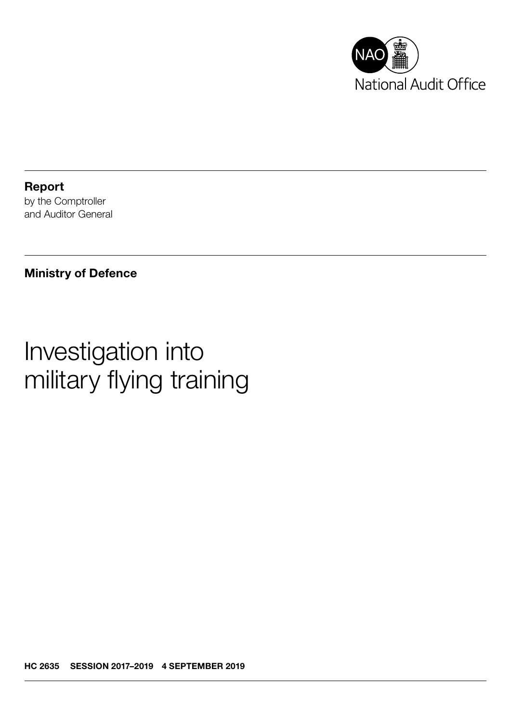

Report by the Comptroller and Auditor General

### Ministry of Defence

# Investigation into military flying training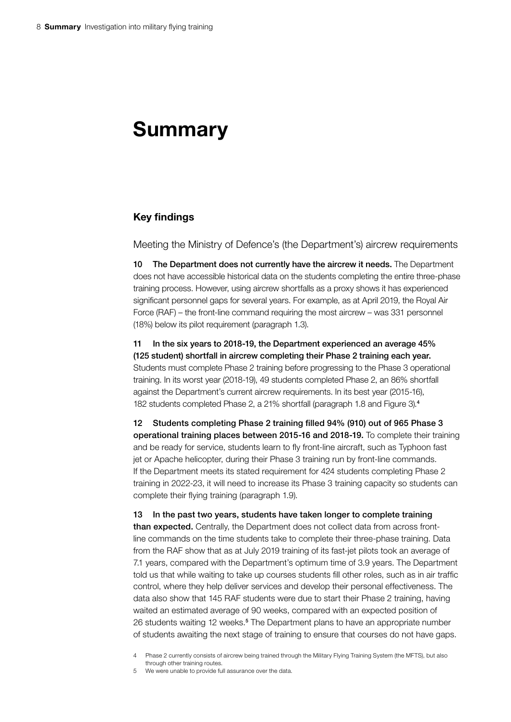## Summary

#### Key findings

Meeting the Ministry of Defence's (the Department's) aircrew requirements

10 The Department does not currently have the aircrew it needs. The Department does not have accessible historical data on the students completing the entire three-phase training process. However, using aircrew shortfalls as a proxy shows it has experienced significant personnel gaps for several years. For example, as at April 2019, the Royal Air Force (RAF) – the front-line command requiring the most aircrew – was 331 personnel (18%) below its pilot requirement (paragraph 1.3).

11 In the six years to 2018-19, the Department experienced an average 45% (125 student) shortfall in aircrew completing their Phase 2 training each year. Students must complete Phase 2 training before progressing to the Phase 3 operational training. In its worst year (2018-19), 49 students completed Phase 2, an 86% shortfall against the Department's current aircrew requirements. In its best year (2015-16), 182 students completed Phase 2, a 21% shortfall (paragraph 1.8 and Figure 3).<sup>4</sup>

12 Students completing Phase 2 training filled 94% (910) out of 965 Phase 3 operational training places between 2015-16 and 2018-19. To complete their training and be ready for service, students learn to fly front-line aircraft, such as Typhoon fast jet or Apache helicopter, during their Phase 3 training run by front-line commands. If the Department meets its stated requirement for 424 students completing Phase 2 training in 2022-23, it will need to increase its Phase 3 training capacity so students can complete their flying training (paragraph 1.9).

13 In the past two years, students have taken longer to complete training than expected. Centrally, the Department does not collect data from across frontline commands on the time students take to complete their three-phase training. Data from the RAF show that as at July 2019 training of its fast-jet pilots took an average of 7.1 years, compared with the Department's optimum time of 3.9 years. The Department told us that while waiting to take up courses students fill other roles, such as in air traffic control, where they help deliver services and develop their personal effectiveness. The data also show that 145 RAF students were due to start their Phase 2 training, having waited an estimated average of 90 weeks, compared with an expected position of 26 students waiting 12 weeks.<sup>5</sup> The Department plans to have an appropriate number of students awaiting the next stage of training to ensure that courses do not have gaps.

4 Phase 2 currently consists of aircrew being trained through the Military Flying Training System (the MFTS), but also through other training routes.

5 We were unable to provide full assurance over the data.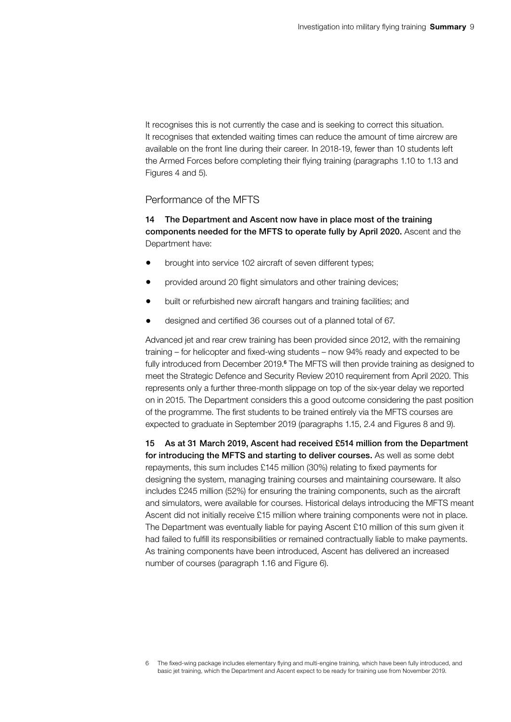It recognises this is not currently the case and is seeking to correct this situation. It recognises that extended waiting times can reduce the amount of time aircrew are available on the front line during their career. In 2018-19, fewer than 10 students left the Armed Forces before completing their flying training (paragraphs 1.10 to 1.13 and Figures 4 and 5).

#### Performance of the MFTS

14 The Department and Ascent now have in place most of the training components needed for the MFTS to operate fully by April 2020. Ascent and the Department have:

- brought into service 102 aircraft of seven different types;
- provided around 20 flight simulators and other training devices;
- built or refurbished new aircraft hangars and training facilities; and
- designed and certified 36 courses out of a planned total of 67.

Advanced jet and rear crew training has been provided since 2012, with the remaining training – for helicopter and fixed-wing students – now 94% ready and expected to be fully introduced from December 2019.<sup>6</sup> The MFTS will then provide training as designed to meet the Strategic Defence and Security Review 2010 requirement from April 2020. This represents only a further three-month slippage on top of the six-year delay we reported on in 2015. The Department considers this a good outcome considering the past position of the programme. The first students to be trained entirely via the MFTS courses are expected to graduate in September 2019 (paragraphs 1.15, 2.4 and Figures 8 and 9).

15 As at 31 March 2019, Ascent had received £514 million from the Department for introducing the MFTS and starting to deliver courses. As well as some debt repayments, this sum includes £145 million (30%) relating to fixed payments for designing the system, managing training courses and maintaining courseware. It also includes £245 million (52%) for ensuring the training components, such as the aircraft and simulators, were available for courses. Historical delays introducing the MFTS meant Ascent did not initially receive £15 million where training components were not in place. The Department was eventually liable for paying Ascent £10 million of this sum given it had failed to fulfill its responsibilities or remained contractually liable to make payments. As training components have been introduced, Ascent has delivered an increased number of courses (paragraph 1.16 and Figure 6).

<sup>6</sup> The fixed-wing package includes elementary flying and multi-engine training, which have been fully introduced, and basic jet training, which the Department and Ascent expect to be ready for training use from November 2019.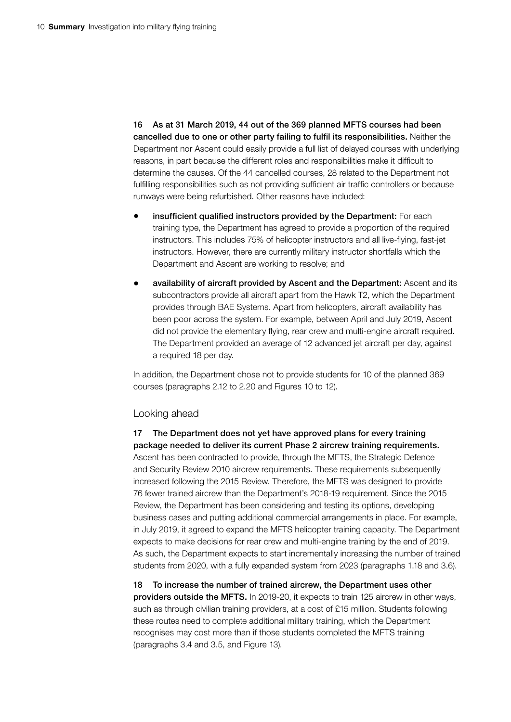16 As at 31 March 2019, 44 out of the 369 planned MFTS courses had been cancelled due to one or other party failing to fulfil its responsibilities. Neither the Department nor Ascent could easily provide a full list of delayed courses with underlying reasons, in part because the different roles and responsibilities make it difficult to determine the causes. Of the 44 cancelled courses, 28 related to the Department not fulfilling responsibilities such as not providing sufficient air traffic controllers or because runways were being refurbished. Other reasons have included:

- insufficient qualified instructors provided by the Department: For each training type, the Department has agreed to provide a proportion of the required instructors. This includes 75% of helicopter instructors and all live-flying, fast-jet instructors. However, there are currently military instructor shortfalls which the Department and Ascent are working to resolve; and
- availability of aircraft provided by Ascent and the Department: Ascent and its subcontractors provide all aircraft apart from the Hawk T2, which the Department provides through BAE Systems. Apart from helicopters, aircraft availability has been poor across the system. For example, between April and July 2019, Ascent did not provide the elementary flying, rear crew and multi-engine aircraft required. The Department provided an average of 12 advanced jet aircraft per day, against a required 18 per day.

In addition, the Department chose not to provide students for 10 of the planned 369 courses (paragraphs 2.12 to 2.20 and Figures 10 to 12).

#### Looking ahead

17 The Department does not yet have approved plans for every training package needed to deliver its current Phase 2 aircrew training requirements. Ascent has been contracted to provide, through the MFTS, the Strategic Defence and Security Review 2010 aircrew requirements. These requirements subsequently increased following the 2015 Review. Therefore, the MFTS was designed to provide 76 fewer trained aircrew than the Department's 2018-19 requirement. Since the 2015 Review, the Department has been considering and testing its options, developing business cases and putting additional commercial arrangements in place. For example, in July 2019, it agreed to expand the MFTS helicopter training capacity. The Department expects to make decisions for rear crew and multi-engine training by the end of 2019. As such, the Department expects to start incrementally increasing the number of trained students from 2020, with a fully expanded system from 2023 (paragraphs 1.18 and 3.6).

18 To increase the number of trained aircrew, the Department uses other providers outside the MFTS. In 2019-20, it expects to train 125 aircrew in other ways, such as through civilian training providers, at a cost of £15 million. Students following these routes need to complete additional military training, which the Department recognises may cost more than if those students completed the MFTS training (paragraphs 3.4 and 3.5, and Figure 13).